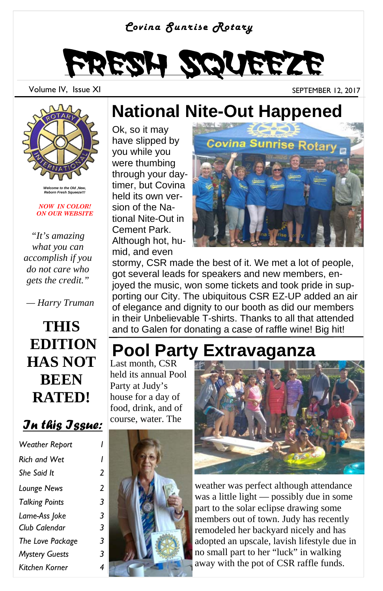#### *Covina Sunrise Rotary*



Volume IV, Issue XI September 12, 2017



*Welcome to the Old ,New, Reborn Fresh Squeeze!!!* 

#### *NOW IN COLOR! ON OUR WEBSITE*

*"It's amazing what you can accomplish if you do not care who gets the credit."* 

 *— Harry Truman* 

**THIS EDITION HAS NOT BEEN RATED!**

*In this Issue:*

| <b>Weather Report</b> |               |
|-----------------------|---------------|
| <b>Rich and Wet</b>   |               |
| She Said It           | 2             |
| Lounge News           | $\mathcal{P}$ |
| <b>Talking Points</b> | 3             |
| Lame-Ass Joke         | 3             |
| Club Calendar         | 3             |
| The Love Package      | 3             |
| <b>Mystery Guests</b> | 3             |
| Kitchen Korner        | 4             |

### **National Nite-Out Happened**

Ok, so it may have slipped by you while you were thumbing through your daytimer, but Covina held its own version of the National Nite-Out in Cement Park. Although hot, humid, and even



stormy, CSR made the best of it. We met a lot of people, got several leads for speakers and new members, enjoyed the music, won some tickets and took pride in supporting our City. The ubiquitous CSR EZ-UP added an air of elegance and dignity to our booth as did our members in their Unbelievable T-shirts. Thanks to all that attended and to Galen for donating a case of raffle wine! Big hit!

### **Pool Party Extravaganza**

Last month, CSR held its annual Pool Party at Judy's house for a day of food, drink, and of course, water. The





weather was perfect although attendance was a little light — possibly due in some part to the solar eclipse drawing some members out of town. Judy has recently remodeled her backyard nicely and has adopted an upscale, lavish lifestyle due in no small part to her "luck" in walking away with the pot of CSR raffle funds.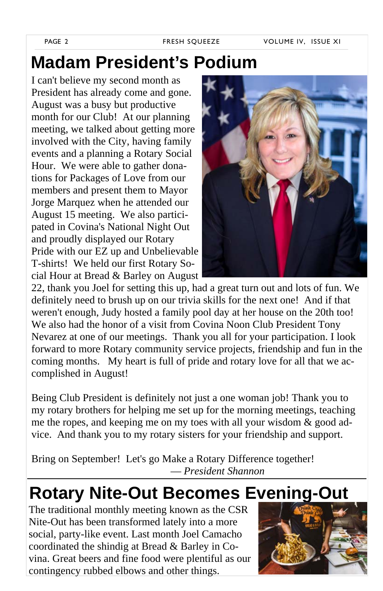### **Madam President's Podium**

I can't believe my second month as President has already come and gone. August was a busy but productive month for our Club! At our planning meeting, we talked about getting more involved with the City, having family events and a planning a Rotary Social Hour. We were able to gather donations for Packages of Love from our members and present them to Mayor Jorge Marquez when he attended our August 15 meeting. We also participated in Covina's National Night Out and proudly displayed our Rotary Pride with our EZ up and Unbelievable T-shirts! We held our first Rotary Social Hour at Bread & Barley on August



22, thank you Joel for setting this up, had a great turn out and lots of fun. We definitely need to brush up on our trivia skills for the next one! And if that weren't enough, Judy hosted a family pool day at her house on the 20th too! We also had the honor of a visit from Covina Noon Club President Tony Nevarez at one of our meetings. Thank you all for your participation. I look forward to more Rotary community service projects, friendship and fun in the coming months. My heart is full of pride and rotary love for all that we accomplished in August!

Being Club President is definitely not just a one woman job! Thank you to my rotary brothers for helping me set up for the morning meetings, teaching me the ropes, and keeping me on my toes with all your wisdom & good advice. And thank you to my rotary sisters for your friendship and support.

Bring on September! Let's go Make a Rotary Difference together! — *President Shannon*

### **Rotary Nite-Out Becomes Evening-Out**

The traditional monthly meeting known as the CSR Nite-Out has been transformed lately into a more social, party-like event. Last month Joel Camacho coordinated the shindig at Bread & Barley in Covina. Great beers and fine food were plentiful as our contingency rubbed elbows and other things.

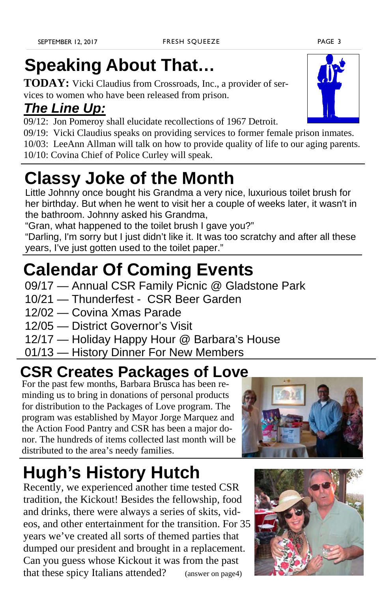## **Speaking About That…**

**TODAY:** Vicki Claudius from Crossroads, Inc., a provider of services to women who have been released from prison.

### *The Line Up:*

09/12: Jon Pomeroy shall elucidate recollections of 1967 Detroit.

09/19: Vicki Claudius speaks on providing services to former female prison inmates.

10/03: LeeAnn Allman will talk on how to provide quality of life to our aging parents.

10/10: Covina Chief of Police Curley will speak.

## **Classy Joke of the Month**

Little Johnny once bought his Grandma a very nice, luxurious toilet brush for her birthday. But when he went to visit her a couple of weeks later, it wasn't in the bathroom. Johnny asked his Grandma,

"Gran, what happened to the toilet brush I gave you?"

"Darling, I'm sorry but I just didn't like it. It was too scratchy and after all these years, I've just gotten used to the toilet paper."

### **Calendar Of Coming Events**

- 09/17 Annual CSR Family Picnic @ Gladstone Park
- 10/21 Thunderfest CSR Beer Garden
- 12/02 Covina Xmas Parade
- 12/05 District Governor's Visit
- 12/17 Holiday Happy Hour @ Barbara's House
- 01/13 History Dinner For New Members

### **CSR Creates Packages of Love**

For the past few months, Barbara Brusca has been reminding us to bring in donations of personal products for distribution to the Packages of Love program. The program was established by Mayor Jorge Marquez and the Action Food Pantry and CSR has been a major donor. The hundreds of items collected last month will be distributed to the area's needy families.



# **Hugh's History Hutch**

Recently, we experienced another time tested CSR tradition, the Kickout! Besides the fellowship, food and drinks, there were always a series of skits, videos, and other entertainment for the transition. For 35 years we've created all sorts of themed parties that dumped our president and brought in a replacement. Can you guess whose Kickout it was from the past that these spicy Italians attended? (answer on page4)